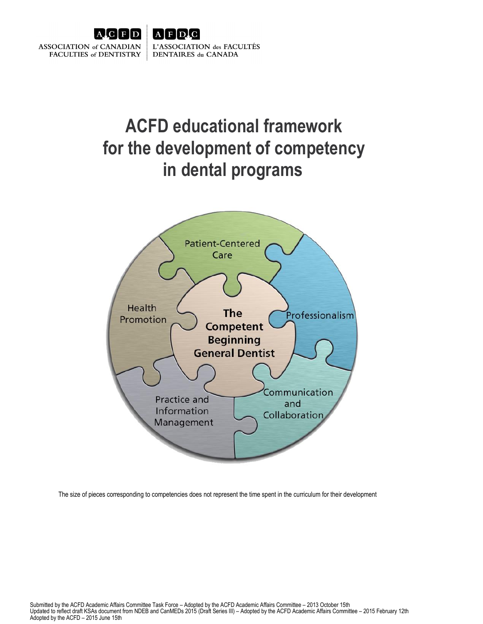



The size of pieces corresponding to competencies does not represent the time spent in the curriculum for their development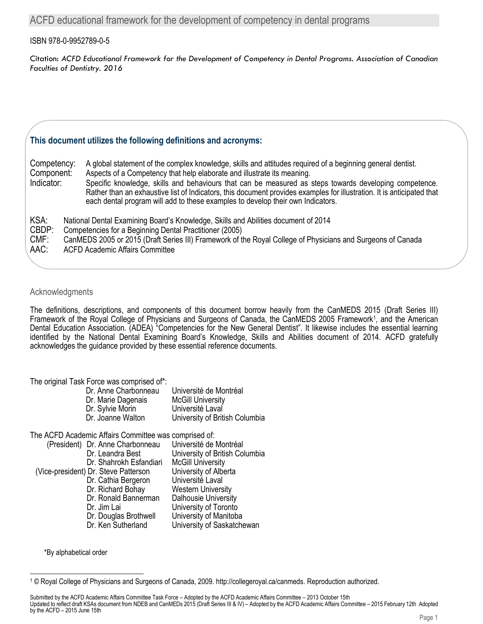## ISBN 978-0-9952789-0-5

Citation: *ACFD Educational Framework for the Development of Competency in Dental Programs. Association of Canadian Faculties of Dentistry. 2016*

# **This document utilizes the following definitions and acronyms:**

| Competency:<br>Component:<br>Indicator: | A global statement of the complex knowledge, skills and attitudes required of a beginning general dentist.<br>Aspects of a Competency that help elaborate and illustrate its meaning.<br>Specific knowledge, skills and behaviours that can be measured as steps towards developing competence.<br>Rather than an exhaustive list of Indicators, this document provides examples for illustration. It is anticipated that<br>each dental program will add to these examples to develop their own Indicators. |
|-----------------------------------------|--------------------------------------------------------------------------------------------------------------------------------------------------------------------------------------------------------------------------------------------------------------------------------------------------------------------------------------------------------------------------------------------------------------------------------------------------------------------------------------------------------------|
| KSA:<br>CBDP:<br>CMF:<br>AAC:           | National Dental Examining Board's Knowledge, Skills and Abilities document of 2014<br>Competencies for a Beginning Dental Practitioner (2005)<br>CanMEDS 2005 or 2015 (Draft Series III) Framework of the Royal College of Physicians and Surgeons of Canada<br><b>ACFD Academic Affairs Committee</b>                                                                                                                                                                                                       |

## Acknowledgments

The definitions, descriptions, and components of this document borrow heavily from the CanMEDS 2015 (Draft Series III) Framework of the Royal College of Physicians and Surgeons of Canada, the CanMEDS 2005 Framework<sup>1</sup>, and the American Dental Education Association. (ADEA) "Competencies for the New General Dentist". It likewise includes the essential learning identified by the National Dental Examining Board's Knowledge, Skills and Abilities document of 2014. ACFD gratefully acknowledges the guidance provided by these essential reference documents.

The original Task Force was comprised of\*:

| Dr. Anne Charbonneau<br>Dr. Marie Dagenais | Université de Montréal<br><b>McGill University</b> |
|--------------------------------------------|----------------------------------------------------|
| Dr. Sylvie Morin                           | Université Laval                                   |
| Dr. Joanne Walton                          | University of British Columbia                     |

The ACFD Academic Affairs Committee was comprised of:

| (President) Dr. Anne Charbonneau     | Université de Montréal         |
|--------------------------------------|--------------------------------|
| Dr. Leandra Best                     | University of British Columbia |
| Dr. Shahrokh Esfandiari              | <b>McGill University</b>       |
| (Vice-president) Dr. Steve Patterson | University of Alberta          |
| Dr. Cathia Bergeron                  | Université Laval               |
| Dr. Richard Bohay                    | <b>Western University</b>      |
| Dr. Ronald Bannerman                 | Dalhousie University           |
| Dr. Jim Lai                          | University of Toronto          |
| Dr. Douglas Brothwell                | University of Manitoba         |
| Dr. Ken Sutherland                   | University of Saskatchewan     |
|                                      |                                |

\*By alphabetical order

 $\overline{a}$ <sup>1</sup> © Royal College of Physicians and Surgeons of Canada, 2009. [http://collegeroyal.ca/canmeds.](http://collegeroyal.ca/canmeds) Reproduction authorized.

Submitted by the ACFD Academic Affairs Committee Task Force – Adopted by the ACFD Academic Affairs Committee – 2013 October 15th Updated to reflect draft KSAs document from NDEB and CanMEDs 2015 (Draft Series III & IV) – Adopted by the ACFD Academic Affairs Committee – 2015 February 12th Adopted by the ACFD – 2015 June 15th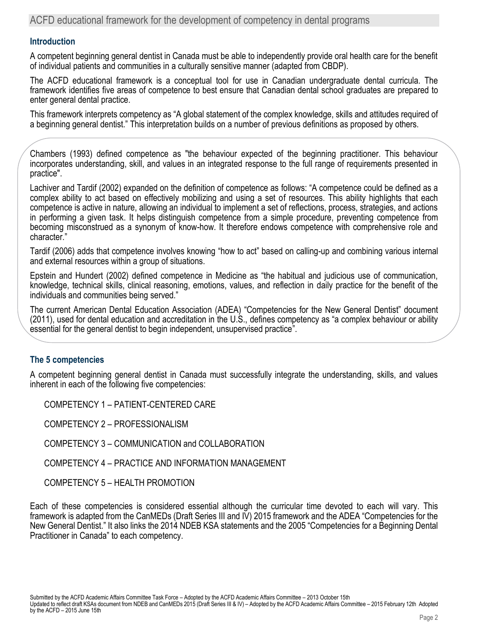# **Introduction**

A competent beginning general dentist in Canada must be able to independently provide oral health care for the benefit of individual patients and communities in a culturally sensitive manner (adapted from CBDP).

The ACFD educational framework is a conceptual tool for use in Canadian undergraduate dental curricula. The framework identifies five areas of competence to best ensure that Canadian dental school graduates are prepared to enter general dental practice.

This framework interprets competency as "A global statement of the complex knowledge, skills and attitudes required of a beginning general dentist." This interpretation builds on a number of previous definitions as proposed by others.

Chambers (1993) defined competence as "the behaviour expected of the beginning practitioner. This behaviour incorporates understanding, skill, and values in an integrated response to the full range of requirements presented in practice".

Lachiver and Tardif (2002) expanded on the definition of competence as follows: "A competence could be defined as a complex ability to act based on effectively mobilizing and using a set of resources. This ability highlights that each competence is active in nature, allowing an individual to implement a set of reflections, process, strategies, and actions in performing a given task. It helps distinguish competence from a simple procedure, preventing competence from becoming misconstrued as a synonym of know-how. It therefore endows competence with comprehensive role and character."

Tardif (2006) adds that competence involves knowing "how to act" based on calling-up and combining various internal and external resources within a group of situations.

Epstein and Hundert (2002) defined competence in Medicine as "the habitual and judicious use of communication, knowledge, technical skills, clinical reasoning, emotions, values, and reflection in daily practice for the benefit of the individuals and communities being served."

The current American Dental Education Association (ADEA) "Competencies for the New General Dentist" document (2011), used for dental education and accreditation in the U.S., defines competency as "a complex behaviour or ability essential for the general dentist to begin independent, unsupervised practice".

# **The 5 competencies**

A competent beginning general dentist in Canada must successfully integrate the understanding, skills, and values inherent in each of the following five competencies:

COMPETENCY 1 – PATIENT-CENTERED CARE

COMPETENCY 2 – PROFESSIONALISM

COMPETENCY 3 – COMMUNICATION and COLLABORATION

COMPETENCY 4 – PRACTICE AND INFORMATION MANAGEMENT

COMPETENCY 5 – HEALTH PROMOTION

Each of these competencies is considered essential although the curricular time devoted to each will vary. This framework is adapted from the CanMEDs (Draft Series III and IV) 2015 framework and the ADEA "Competencies for the New General Dentist." It also links the 2014 NDEB KSA statements and the 2005 "Competencies for a Beginning Dental Practitioner in Canada" to each competency.

Submitted by the ACFD Academic Affairs Committee Task Force – Adopted by the ACFD Academic Affairs Committee – 2013 October 15th Updated to reflect draft KSAs document from NDEB and CanMEDs 2015 (Draft Series III & IV) – Adopted by the ACFD Academic Affairs Committee – 2015 February 12th Adopted by the ACFD – 2015 June 15th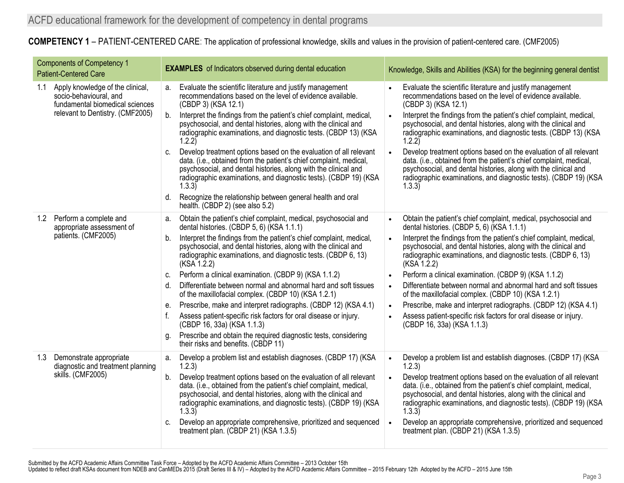| <b>Components of Competency 1</b><br><b>Patient-Centered Care</b>                                                                        | <b>EXAMPLES</b> of Indicators observed during dental education                                                                                                                                                                                                                                                                                                                                                                                                                                                                                                                                                                                                                                                                                                                                                                                      | Knowledge, Skills and Abilities (KSA) for the beginning general dentist                                                                                                                                                                                                                                                                                                                                                                                                                                                                                                                                                                                                                                                                                                    |
|------------------------------------------------------------------------------------------------------------------------------------------|-----------------------------------------------------------------------------------------------------------------------------------------------------------------------------------------------------------------------------------------------------------------------------------------------------------------------------------------------------------------------------------------------------------------------------------------------------------------------------------------------------------------------------------------------------------------------------------------------------------------------------------------------------------------------------------------------------------------------------------------------------------------------------------------------------------------------------------------------------|----------------------------------------------------------------------------------------------------------------------------------------------------------------------------------------------------------------------------------------------------------------------------------------------------------------------------------------------------------------------------------------------------------------------------------------------------------------------------------------------------------------------------------------------------------------------------------------------------------------------------------------------------------------------------------------------------------------------------------------------------------------------------|
| 1.1<br>Apply knowledge of the clinical,<br>socio-behavioural, and<br>fundamental biomedical sciences<br>relevant to Dentistry. (CMF2005) | Evaluate the scientific literature and justify management<br>a.<br>recommendations based on the level of evidence available.<br>(CBDP 3) (KSA 12.1)<br>Interpret the findings from the patient's chief complaint, medical,<br>h.<br>psychosocial, and dental histories, along with the clinical and<br>radiographic examinations, and diagnostic tests. (CBDP 13) (KSA<br>1.2.2)<br>Develop treatment options based on the evaluation of all relevant<br>C.<br>data. (i.e., obtained from the patient's chief complaint, medical,<br>psychosocial, and dental histories, along with the clinical and<br>radiographic examinations, and diagnostic tests). (CBDP 19) (KSA<br>(1.3.3)<br>Recognize the relationship between general health and oral<br>d.<br>health. (CBDP 2) (see also 5.2)                                                          | Evaluate the scientific literature and justify management<br>recommendations based on the level of evidence available.<br>(CBDP 3) (KSA 12.1)<br>Interpret the findings from the patient's chief complaint, medical,<br>$\bullet$<br>psychosocial, and dental histories, along with the clinical and<br>radiographic examinations, and diagnostic tests. (CBDP 13) (KSA<br>1.2.2)<br>Develop treatment options based on the evaluation of all relevant<br>$\bullet$<br>data. (i.e., obtained from the patient's chief complaint, medical,<br>psychosocial, and dental histories, along with the clinical and<br>radiographic examinations, and diagnostic tests). (CBDP 19) (KSA<br>(1.3.3)                                                                                |
| Perform a complete and<br>1.2<br>appropriate assessment of<br>patients. (CMF2005)                                                        | Obtain the patient's chief complaint, medical, psychosocial and<br>a.<br>dental histories. (CBDP 5, 6) (KSA 1.1.1)<br>Interpret the findings from the patient's chief complaint, medical,<br>$b$ .<br>psychosocial, and dental histories, along with the clinical and<br>radiographic examinations, and diagnostic tests. (CBDP 6, 13)<br>(KSA 1.2.2)<br>Perform a clinical examination. (CBDP 9) (KSA 1.1.2)<br>C.<br>Differentiate between normal and abnormal hard and soft tissues<br>d.<br>of the maxillofacial complex. (CBDP 10) (KSA 1.2.1)<br>Prescribe, make and interpret radiographs. (CBDP 12) (KSA 4.1)<br>е.<br>f.<br>Assess patient-specific risk factors for oral disease or injury.<br>(CBDP 16, 33a) (KSA 1.1.3)<br>Prescribe and obtain the required diagnostic tests, considering<br>q.<br>their risks and benefits. (CBDP 11) | Obtain the patient's chief complaint, medical, psychosocial and<br>$\bullet$<br>dental histories. (CBDP 5, 6) (KSA 1.1.1)<br>Interpret the findings from the patient's chief complaint, medical,<br>$\bullet$<br>psychosocial, and dental histories, along with the clinical and<br>radiographic examinations, and diagnostic tests. (CBDP 6, 13)<br>(KSA 1.2.2)<br>Perform a clinical examination. (CBDP 9) (KSA 1.1.2)<br>$\bullet$<br>Differentiate between normal and abnormal hard and soft tissues<br>$\bullet$<br>of the maxillofacial complex. (CBDP 10) (KSA 1.2.1)<br>Prescribe, make and interpret radiographs. (CBDP 12) (KSA 4.1)<br>$\bullet$<br>Assess patient-specific risk factors for oral disease or injury.<br>$\bullet$<br>(CBDP 16, 33a) (KSA 1.1.3) |
| Demonstrate appropriate<br>1.3<br>diagnostic and treatment planning<br>skills. (CMF2005)                                                 | Develop a problem list and establish diagnoses. (CBDP 17) (KSA<br>a.<br>1.2.3)<br>Develop treatment options based on the evaluation of all relevant<br>b.<br>data. (i.e., obtained from the patient's chief complaint, medical,<br>psychosocial, and dental histories, along with the clinical and<br>radiographic examinations, and diagnostic tests). (CBDP 19) (KSA<br>1.3.3)<br>Develop an appropriate comprehensive, prioritized and sequenced<br>C.<br>treatment plan. (CBDP 21) (KSA 1.3.5)                                                                                                                                                                                                                                                                                                                                                  | Develop a problem list and establish diagnoses. (CBDP 17) (KSA<br>$\bullet$<br>1.2.3)<br>Develop treatment options based on the evaluation of all relevant<br>$\bullet$<br>data. (i.e., obtained from the patient's chief complaint, medical,<br>psychosocial, and dental histories, along with the clinical and<br>radiographic examinations, and diagnostic tests). (CBDP 19) (KSA<br>1.3.3)<br>Develop an appropriate comprehensive, prioritized and sequenced<br>treatment plan. (CBDP 21) (KSA 1.3.5)                                                                                                                                                                                                                                                                 |

| COMPETENCY 1 - PATIENT-CENTERED CARE: The application of professional knowledge, skills and values in the provision of patient-centered care. (CMF2005) |  |  |  |  |
|---------------------------------------------------------------------------------------------------------------------------------------------------------|--|--|--|--|
|---------------------------------------------------------------------------------------------------------------------------------------------------------|--|--|--|--|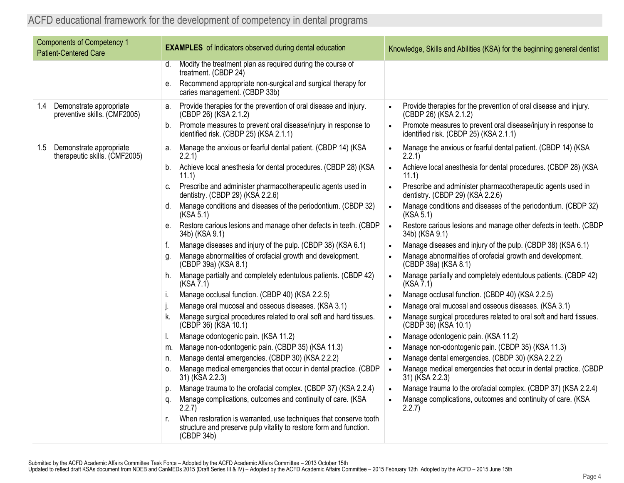| <b>Components of Competency 1</b><br><b>Patient-Centered Care</b>   | <b>EXAMPLES</b> of Indicators observed during dental education                                                                                              | Knowledge, Skills and Abilities (KSA) for the beginning general dentist                                               |
|---------------------------------------------------------------------|-------------------------------------------------------------------------------------------------------------------------------------------------------------|-----------------------------------------------------------------------------------------------------------------------|
|                                                                     | Modify the treatment plan as required during the course of<br>d.<br>treatment. (CBDP 24)                                                                    |                                                                                                                       |
|                                                                     | Recommend appropriate non-surgical and surgical therapy for<br>е.<br>caries management. (CBDP 33b)                                                          |                                                                                                                       |
| Demonstrate appropriate<br>1.4<br>preventive skills. (CMF2005)      | Provide therapies for the prevention of oral disease and injury.<br>a.<br>(CBDP 26) (KSA 2.1.2)                                                             | Provide therapies for the prevention of oral disease and injury.<br>$\bullet$<br>(CBDP 26) (KSA 2.1.2)                |
|                                                                     | Promote measures to prevent oral disease/injury in response to<br>b.<br>identified risk. (CBDP 25) (KSA 2.1.1)                                              | Promote measures to prevent oral disease/injury in response to<br>$\bullet$<br>identified risk. (CBDP 25) (KSA 2.1.1) |
| Demonstrate appropriate<br>$1.5\,$<br>therapeutic skills. (CMF2005) | Manage the anxious or fearful dental patient. (CBDP 14) (KSA<br>a.<br>2.2.1                                                                                 | Manage the anxious or fearful dental patient. (CBDP 14) (KSA<br>$\bullet$<br>2.2.1)                                   |
|                                                                     | Achieve local anesthesia for dental procedures. (CBDP 28) (KSA<br>b.<br>11.1)                                                                               | Achieve local anesthesia for dental procedures. (CBDP 28) (KSA<br>$\bullet$<br>11.1)                                  |
|                                                                     | Prescribe and administer pharmacotherapeutic agents used in<br>C.<br>dentistry. (CBDP 29) (KSA 2.2.6)                                                       | Prescribe and administer pharmacotherapeutic agents used in<br>$\bullet$<br>dentistry. (CBDP 29) (KSA 2.2.6)          |
|                                                                     | Manage conditions and diseases of the periodontium. (CBDP 32)<br>d.<br>$(KSA\bar{5}.1)$                                                                     | Manage conditions and diseases of the periodontium. (CBDP 32)<br>$\bullet$<br>(KSA 5.1)                               |
|                                                                     | Restore carious lesions and manage other defects in teeth. (CBDP<br>e <sub>1</sub><br>34b) (KSA 9.1)                                                        | Restore carious lesions and manage other defects in teeth. (CBDP<br>$\bullet$<br>34b) (KSA 9.1)                       |
|                                                                     | Manage diseases and injury of the pulp. (CBDP 38) (KSA 6.1)<br>f.                                                                                           | Manage diseases and injury of the pulp. (CBDP 38) (KSA 6.1)<br>$\bullet$                                              |
|                                                                     | Manage abnormalities of orofacial growth and development.<br>q.<br>(CBDP 39a) (KSA 8.1)                                                                     | Manage abnormalities of orofacial growth and development.<br>$\bullet$<br>(CBDP 39a) (KSA 8.1)                        |
|                                                                     | Manage partially and completely edentulous patients. (CBDP 42)<br>h.<br>(KSA 7.1)                                                                           | Manage partially and completely edentulous patients. (CBDP 42)<br>$\bullet$<br>(KSA 7.1)                              |
|                                                                     | Manage occlusal function. (CBDP 40) (KSA 2.2.5)<br>i.                                                                                                       | Manage occlusal function. (CBDP 40) (KSA 2.2.5)<br>$\bullet$                                                          |
|                                                                     | Manage oral mucosal and osseous diseases. (KSA 3.1)                                                                                                         | Manage oral mucosal and osseous diseases. (KSA 3.1)<br>$\bullet$                                                      |
|                                                                     | Manage surgical procedures related to oral soft and hard tissues.<br>k.<br>(CBDP 36) (KSA 10.1)                                                             | Manage surgical procedures related to oral soft and hard tissues.<br>$\bullet$<br>(CBDP 36) (KSA 10.1)                |
|                                                                     | Manage odontogenic pain. (KSA 11.2)                                                                                                                         | Manage odontogenic pain. (KSA 11.2)<br>$\bullet$                                                                      |
|                                                                     | Manage non-odontogenic pain. (CBDP 35) (KSA 11.3)<br>m.                                                                                                     | Manage non-odontogenic pain. (CBDP 35) (KSA 11.3)<br>$\bullet$                                                        |
|                                                                     | Manage dental emergencies. (CBDP 30) (KSA 2.2.2)<br>n.                                                                                                      | Manage dental emergencies. (CBDP 30) (KSA 2.2.2)<br>$\bullet$                                                         |
|                                                                     | Manage medical emergencies that occur in dental practice. (CBDP<br>0.<br>31) (KSA 2.2.3)                                                                    | Manage medical emergencies that occur in dental practice. (CBDP<br>$\bullet$<br>31) (KSA 2.2.3)                       |
|                                                                     | Manage trauma to the orofacial complex. (CBDP 37) (KSA 2.2.4)<br>p.                                                                                         | Manage trauma to the orofacial complex. (CBDP 37) (KSA 2.2.4)<br>$\bullet$                                            |
|                                                                     | Manage complications, outcomes and continuity of care. (KSA<br>q.<br>$2.2.7$ )                                                                              | Manage complications, outcomes and continuity of care. (KSA<br>$\bullet$<br>2.2.7)                                    |
|                                                                     | When restoration is warranted, use techniques that conserve tooth<br>r.<br>structure and preserve pulp vitality to restore form and function.<br>(CBDP 34b) |                                                                                                                       |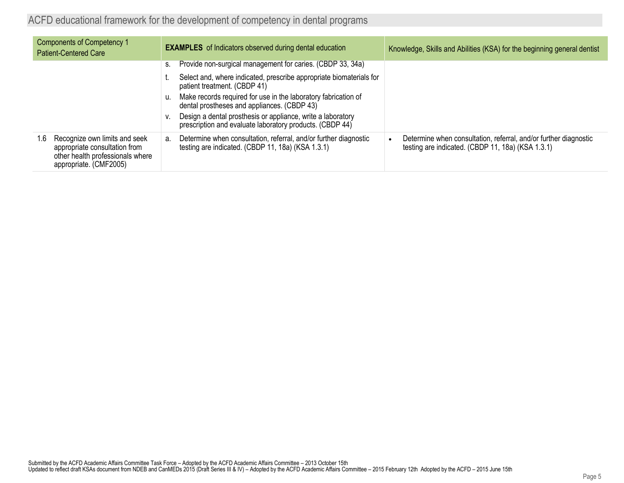| Components of Competency 1<br><b>Patient-Centered Care</b> |                                                                                                                              | <b>EXAMPLES</b> of Indicators observed during dental education |                                                                                                                         | Knowledge, Skills and Abilities (KSA) for the beginning general dentist                                               |
|------------------------------------------------------------|------------------------------------------------------------------------------------------------------------------------------|----------------------------------------------------------------|-------------------------------------------------------------------------------------------------------------------------|-----------------------------------------------------------------------------------------------------------------------|
|                                                            |                                                                                                                              | S.                                                             | Provide non-surgical management for caries. (CBDP 33, 34a)                                                              |                                                                                                                       |
|                                                            |                                                                                                                              |                                                                | Select and, where indicated, prescribe appropriate biomaterials for<br>patient treatment. (CBDP 41)                     |                                                                                                                       |
|                                                            |                                                                                                                              | u.                                                             | Make records required for use in the laboratory fabrication of<br>dental prostheses and appliances. (CBDP 43)           |                                                                                                                       |
|                                                            |                                                                                                                              | ۷.                                                             | Design a dental prosthesis or appliance, write a laboratory<br>prescription and evaluate laboratory products. (CBDP 44) |                                                                                                                       |
| 1.6                                                        | Recognize own limits and seek<br>appropriate consultation from<br>other health professionals where<br>appropriate. (CMF2005) | а.                                                             | Determine when consultation, referral, and/or further diagnostic<br>testing are indicated. (CBDP 11, 18a) (KSA 1.3.1)   | Determine when consultation, referral, and/or further diagnostic<br>testing are indicated. (CBDP 11, 18a) (KSA 1.3.1) |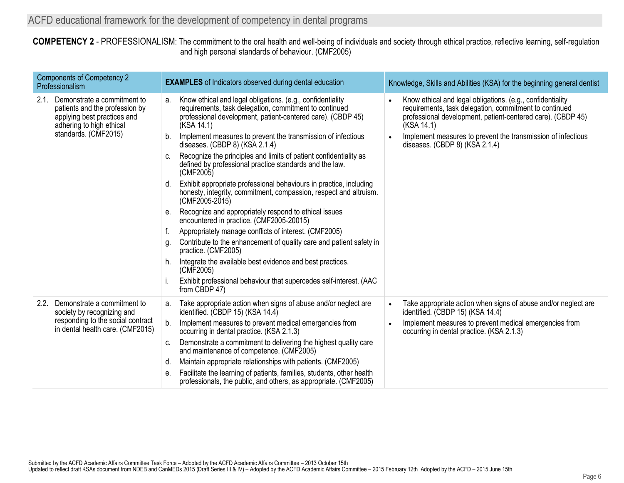**COMPETENCY 2** - PROFESSIONALISM: The commitment to the oral health and well-being of individuals and society through ethical practice, reflective learning, self-regulation and high personal standards of behaviour. (CMF2005)

| Components of Competency 2<br>Professionalism |                                                                                                                          | <b>EXAMPLES</b> of Indicators observed during dental education |                                                                                                                                                                                                   | Knowledge, Skills and Abilities (KSA) for the beginning general dentist |                                                                                                                                                                                                   |
|-----------------------------------------------|--------------------------------------------------------------------------------------------------------------------------|----------------------------------------------------------------|---------------------------------------------------------------------------------------------------------------------------------------------------------------------------------------------------|-------------------------------------------------------------------------|---------------------------------------------------------------------------------------------------------------------------------------------------------------------------------------------------|
| 2.1.                                          | Demonstrate a commitment to<br>patients and the profession by<br>applying best practices and<br>adhering to high ethical | a.                                                             | Know ethical and legal obligations. (e.g., confidentiality<br>requirements, task delegation, commitment to continued<br>professional development, patient-centered care). (CBDP 45)<br>(KSA 14.1) |                                                                         | Know ethical and legal obligations. (e.g., confidentiality<br>requirements, task delegation, commitment to continued<br>professional development, patient-centered care). (CBDP 45)<br>(KSA 14.1) |
|                                               | standards. (CMF2015)                                                                                                     | b.                                                             | Implement measures to prevent the transmission of infectious<br>diseases. (CBDP 8) (KSA 2.1.4)                                                                                                    | $\bullet$                                                               | Implement measures to prevent the transmission of infectious<br>diseases. (CBDP 8) $(KSA 2.1.4)$                                                                                                  |
|                                               |                                                                                                                          | C.                                                             | Recognize the principles and limits of patient confidentiality as<br>defined by professional practice standards and the law.<br>(CMF2005)                                                         |                                                                         |                                                                                                                                                                                                   |
|                                               |                                                                                                                          | d.                                                             | Exhibit appropriate professional behaviours in practice, including<br>honesty, integrity, commitment, compassion, respect and altruism.<br>(CMF2005-2015)                                         |                                                                         |                                                                                                                                                                                                   |
|                                               |                                                                                                                          | е.                                                             | Recognize and appropriately respond to ethical issues<br>encountered in practice. (CMF2005-20015)                                                                                                 |                                                                         |                                                                                                                                                                                                   |
|                                               |                                                                                                                          |                                                                | Appropriately manage conflicts of interest. (CMF2005)                                                                                                                                             |                                                                         |                                                                                                                                                                                                   |
|                                               |                                                                                                                          | g.                                                             | Contribute to the enhancement of quality care and patient safety in<br>practice. (CMF2005)                                                                                                        |                                                                         |                                                                                                                                                                                                   |
|                                               |                                                                                                                          | h.                                                             | Integrate the available best evidence and best practices.<br>(CMF2005)                                                                                                                            |                                                                         |                                                                                                                                                                                                   |
|                                               |                                                                                                                          |                                                                | Exhibit professional behaviour that supercedes self-interest. (AAC<br>from CBDP 47)                                                                                                               |                                                                         |                                                                                                                                                                                                   |
| 2.2.                                          | Demonstrate a commitment to<br>society by recognizing and                                                                | a.                                                             | Take appropriate action when signs of abuse and/or neglect are<br>identified. (CBDP 15) (KSA 14.4)                                                                                                | $\bullet$                                                               | Take appropriate action when signs of abuse and/or neglect are<br>identified. (CBDP 15) (KSA 14.4)                                                                                                |
|                                               | responding to the social contract<br>in dental health care. (CMF2015)                                                    | b.                                                             | Implement measures to prevent medical emergencies from<br>occurring in dental practice. (KSA 2.1.3)                                                                                               |                                                                         | Implement measures to prevent medical emergencies from<br>occurring in dental practice. (KSA 2.1.3)                                                                                               |
|                                               |                                                                                                                          | C.                                                             | Demonstrate a commitment to delivering the highest quality care<br>and maintenance of competence. (CMF2005)                                                                                       |                                                                         |                                                                                                                                                                                                   |
|                                               |                                                                                                                          | d.                                                             | Maintain appropriate relationships with patients. (CMF2005)                                                                                                                                       |                                                                         |                                                                                                                                                                                                   |
|                                               |                                                                                                                          | е.                                                             | Facilitate the learning of patients, families, students, other health<br>professionals, the public, and others, as appropriate. (CMF2005)                                                         |                                                                         |                                                                                                                                                                                                   |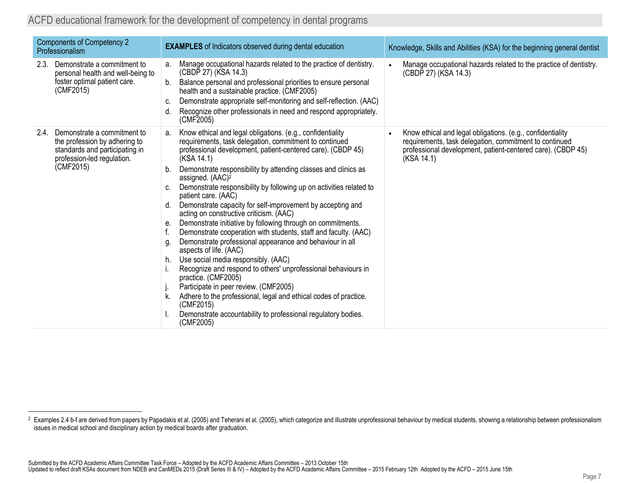$\overline{a}$ 

| Components of Competency 2<br>Professionalism |                                                                                                                                           | <b>EXAMPLES</b> of Indicators observed during dental education |                                                                                                                                                                                                                                                                                                                                                                                                                                                                                                                                                                                                                                                                                                                                                                                                                                                                                                                                                                                                                                                                           | Knowledge, Skills and Abilities (KSA) for the beginning general dentist |                                                                                                                                                                                                   |
|-----------------------------------------------|-------------------------------------------------------------------------------------------------------------------------------------------|----------------------------------------------------------------|---------------------------------------------------------------------------------------------------------------------------------------------------------------------------------------------------------------------------------------------------------------------------------------------------------------------------------------------------------------------------------------------------------------------------------------------------------------------------------------------------------------------------------------------------------------------------------------------------------------------------------------------------------------------------------------------------------------------------------------------------------------------------------------------------------------------------------------------------------------------------------------------------------------------------------------------------------------------------------------------------------------------------------------------------------------------------|-------------------------------------------------------------------------|---------------------------------------------------------------------------------------------------------------------------------------------------------------------------------------------------|
| 2.3.                                          | Demonstrate a commitment to<br>personal health and well-being to<br>foster optimal patient care.<br>(CMF2015)                             | a.<br>b.<br>c.<br>d.                                           | Manage occupational hazards related to the practice of dentistry.<br>(CBDP 27) (KSA 14.3)<br>Balance personal and professional priorities to ensure personal<br>health and a sustainable practice. (CMF2005)<br>Demonstrate appropriate self-monitoring and self-reflection. (AAC)<br>Recognize other professionals in need and respond appropriately.<br>(CMF2005)                                                                                                                                                                                                                                                                                                                                                                                                                                                                                                                                                                                                                                                                                                       |                                                                         | Manage occupational hazards related to the practice of dentistry.<br>(CBDP 27) (KSA 14.3)                                                                                                         |
| 2.4.                                          | Demonstrate a commitment to<br>the profession by adhering to<br>standards and participating in<br>profession-led regulation.<br>(CMF2015) | a.<br>b.<br>d.<br>е.<br>g.<br>h.<br>k.                         | Know ethical and legal obligations. (e.g., confidentiality<br>requirements, task delegation, commitment to continued<br>professional development, patient-centered care). (CBDP 45)<br>(KSA 14.1)<br>Demonstrate responsibility by attending classes and clinics as<br>assigned. (AAC) <sup>2</sup><br>Demonstrate responsibility by following up on activities related to<br>patient care. (AAC)<br>Demonstrate capacity for self-improvement by accepting and<br>acting on constructive criticism. (AAC)<br>Demonstrate initiative by following through on commitments.<br>Demonstrate cooperation with students, staff and faculty. (AAC)<br>Demonstrate professional appearance and behaviour in all<br>aspects of life. (AAC)<br>Use social media responsibly. (AAC)<br>Recognize and respond to others' unprofessional behaviours in<br>practice. (CMF2005)<br>Participate in peer review. (CMF2005)<br>Adhere to the professional, legal and ethical codes of practice.<br>(CMF2015)<br>Demonstrate accountability to professional regulatory bodies.<br>(CMF2005) |                                                                         | Know ethical and legal obligations. (e.g., confidentiality<br>requirements, task delegation, commitment to continued<br>professional development, patient-centered care). (CBDP 45)<br>(KSA 14.1) |

 $^2$  Examples 2.4 b-f are derived from papers by Papadakis et al. (2005) and Teherani et al. (2005), which categorize and illustrate unprofessional behaviour by medical students, showing a relationship between professiona issues in medical school and disciplinary action by medical boards after graduation.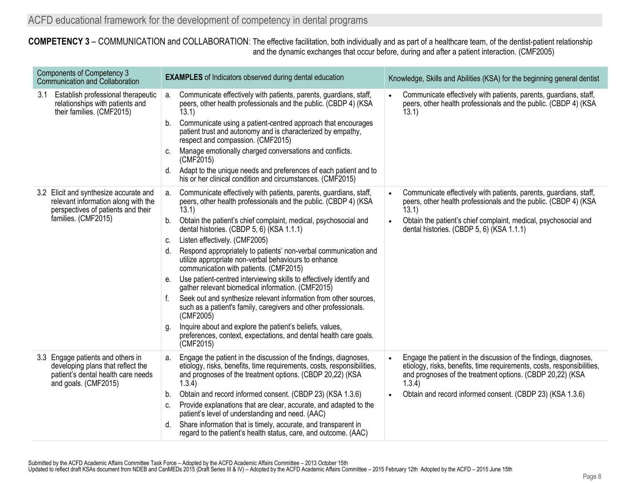**COMPETENCY 3** – COMMUNICATION and COLLABORATION: The effective facilitation, both individually and as part of a healthcare team, of the dentist-patient relationship and the dynamic exchanges that occur before, during and after a patient interaction. (CMF2005)

| Components of Competency 3<br><b>Communication and Collaboration</b>                                                                       | <b>EXAMPLES</b> of Indicators observed during dental education                                                                                                                                                                                                                                                                                                                                                                                                                                                                                                                                                                                                                                                                                                                                                                                                                                                                       | Knowledge, Skills and Abilities (KSA) for the beginning general dentist                                                                                                                                                                                                                     |  |
|--------------------------------------------------------------------------------------------------------------------------------------------|--------------------------------------------------------------------------------------------------------------------------------------------------------------------------------------------------------------------------------------------------------------------------------------------------------------------------------------------------------------------------------------------------------------------------------------------------------------------------------------------------------------------------------------------------------------------------------------------------------------------------------------------------------------------------------------------------------------------------------------------------------------------------------------------------------------------------------------------------------------------------------------------------------------------------------------|---------------------------------------------------------------------------------------------------------------------------------------------------------------------------------------------------------------------------------------------------------------------------------------------|--|
| Establish professional therapeutic<br>3.1<br>relationships with patients and<br>their families. (CMF2015)                                  | Communicate effectively with patients, parents, guardians, staff,<br>a.<br>peers, other health professionals and the public. (CBDP 4) (KSA<br>13.1)<br>$b$ .<br>Communicate using a patient-centred approach that encourages<br>patient trust and autonomy and is characterized by empathy,<br>respect and compassion. (CMF2015)<br>Manage emotionally charged conversations and conflicts.<br>C.<br>(CMF <sub>2015</sub> )<br>Adapt to the unique needs and preferences of each patient and to<br>d.<br>his or her clinical condition and circumstances. (CMF2015)                                                                                                                                                                                                                                                                                                                                                                  | Communicate effectively with patients, parents, guardians, staff,<br>$\bullet$<br>peers, other health professionals and the public. (CBDP 4) (KSA<br>13.1)                                                                                                                                  |  |
| 3.2 Elicit and synthesize accurate and<br>relevant information along with the<br>perspectives of patients and their<br>families. (CMF2015) | Communicate effectively with patients, parents, guardians, staff,<br>а.<br>peers, other health professionals and the public. (CBDP 4) (KSA<br>13.1<br>Obtain the patient's chief complaint, medical, psychosocial and<br>b.<br>dental histories. (CBDP 5, 6) (KSA 1.1.1)<br>Listen effectively. (CMF2005)<br>C.<br>Respond appropriately to patients' non-verbal communication and<br>d.<br>utilize appropriate non-verbal behaviours to enhance<br>communication with patients. (CMF2015)<br>Use patient-centred interviewing skills to effectively identify and<br>е.<br>gather relevant biomedical information. (CMF2015)<br>Seek out and synthesize relevant information from other sources,<br>such as a patient's family, caregivers and other professionals.<br>(CMF2005)<br>Inquire about and explore the patient's beliefs, values,<br>g.<br>preferences, context, expectations, and dental health care goals.<br>(CMF2015) | Communicate effectively with patients, parents, guardians, staff,<br>$\bullet$<br>peers, other health professionals and the public. (CBDP 4) (KSA<br>13.1)<br>Obtain the patient's chief complaint, medical, psychosocial and<br>$\bullet$<br>dental histories. (CBDP 5, 6) (KSA 1.1.1)     |  |
| 3.3 Engage patients and others in<br>developing plans that reflect the<br>patient's dental health care needs<br>and goals. (CMF2015)       | Engage the patient in the discussion of the findings, diagnoses,<br>a.<br>etiology, risks, benefits, time requirements, costs, responsibilities,<br>and prognoses of the treatment options. (CBDP 20,22) (KSA<br>$1.3.\dot{4}$ )<br>Obtain and record informed consent. (CBDP 23) (KSA 1.3.6)<br>b.<br>Provide explanations that are clear, accurate, and adapted to the<br>C.<br>patient's level of understanding and need. (AAC)<br>Share information that is timely, accurate, and transparent in<br>d.<br>regard to the patient's health status, care, and outcome. (AAC)                                                                                                                                                                                                                                                                                                                                                        | Engage the patient in the discussion of the findings, diagnoses,<br>etiology, risks, benefits, time requirements, costs, responsibilities,<br>and prognoses of the treatment options. (CBDP 20,22) (KSA<br>1.3.4)<br>Obtain and record informed consent. (CBDP 23) (KSA 1.3.6)<br>$\bullet$ |  |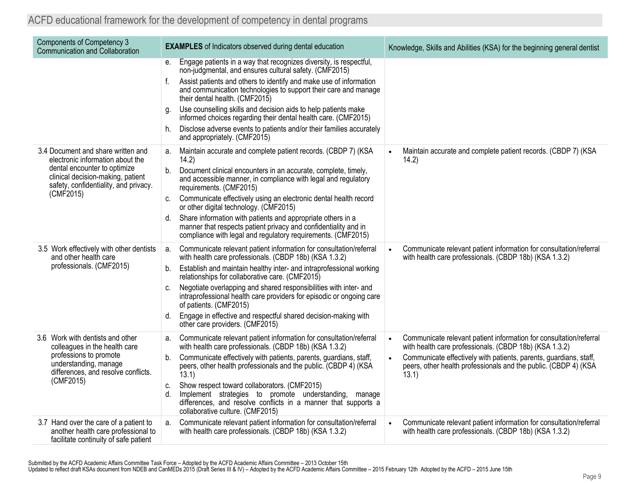| <b>Components of Competency 3</b><br><b>EXAMPLES</b> of Indicators observed during dental education<br>Communication and Collaboration |                                                                                                                                                                                                                         | Knowledge, Skills and Abilities (KSA) for the beginning general dentist                                                                       |
|----------------------------------------------------------------------------------------------------------------------------------------|-------------------------------------------------------------------------------------------------------------------------------------------------------------------------------------------------------------------------|-----------------------------------------------------------------------------------------------------------------------------------------------|
|                                                                                                                                        | Engage patients in a way that recognizes diversity, is respectful,<br>е.<br>non-judgmental, and ensures cultural safety. (CMF2015)                                                                                      |                                                                                                                                               |
|                                                                                                                                        | Assist patients and others to identify and make use of information<br>f.<br>and communication technologies to support their care and manage<br>their dental health. (CMF2015)                                           |                                                                                                                                               |
|                                                                                                                                        | Use counselling skills and decision aids to help patients make<br>g.<br>informed choices regarding their dental health care. (CMF2015)                                                                                  |                                                                                                                                               |
|                                                                                                                                        | Disclose adverse events to patients and/or their families accurately<br>h.<br>and appropriately. (CMF2015)                                                                                                              |                                                                                                                                               |
| 3.4 Document and share written and<br>electronic information about the                                                                 | Maintain accurate and complete patient records. (CBDP 7) (KSA<br>a.<br>14.2)                                                                                                                                            | Maintain accurate and complete patient records. (CBDP 7) (KSA<br>14.2)                                                                        |
| dental encounter to optimize<br>clinical decision-making, patient<br>safety, confidentiality, and privacy.                             | Document clinical encounters in an accurate, complete, timely,<br>b.<br>and accessible manner, in compliance with legal and regulatory<br>requirements. (CMF2015)                                                       |                                                                                                                                               |
| (CMF2015)                                                                                                                              | Communicate effectively using an electronic dental health record<br>C.<br>or other digital technology. (CMF2015)                                                                                                        |                                                                                                                                               |
|                                                                                                                                        | Share information with patients and appropriate others in a<br>d.<br>manner that respects patient privacy and confidentiality and in<br>compliance with legal and regulatory requirements. (CMF2015)                    |                                                                                                                                               |
| 3.5 Work effectively with other dentists<br>and other health care                                                                      | Communicate relevant patient information for consultation/referral<br>a.<br>with health care professionals. (CBDP 18b) (KSA 1.3.2)                                                                                      | Communicate relevant patient information for consultation/referral<br>with health care professionals. (CBDP 18b) (KSA 1.3.2)                  |
| professionals. (CMF2015)                                                                                                               | Establish and maintain healthy inter- and intraprofessional working<br>b.<br>relationships for collaborative care. (CMF2015)                                                                                            |                                                                                                                                               |
|                                                                                                                                        | Negotiate overlapping and shared responsibilities with inter- and<br>C.<br>intraprofessional health care providers for episodic or ongoing care<br>of patients. (CMF2015)                                               |                                                                                                                                               |
|                                                                                                                                        | Engage in effective and respectful shared decision-making with<br>d.<br>other care providers. (CMF2015)                                                                                                                 |                                                                                                                                               |
| 3.6 Work with dentists and other<br>colleagues in the health care                                                                      | Communicate relevant patient information for consultation/referral<br>a.<br>with health care professionals. (CBDP 18b) (KSA 1.3.2)                                                                                      | Communicate relevant patient information for consultation/referral<br>$\bullet$<br>with health care professionals. (CBDP 18b) (KSA 1.3.2)     |
| professions to promote<br>understanding, manage<br>differences, and resolve conflicts.                                                 | Communicate effectively with patients, parents, guardians, staff,<br>$b_{1}$<br>peers, other health professionals and the public. (CBDP 4) (KSA<br>(13.1)                                                               | Communicate effectively with patients, parents, guardians, staff,<br>peers, other health professionals and the public. (CBDP 4) (KSA<br>13.1) |
| (CMF2015)                                                                                                                              | Show respect toward collaborators. (CMF2015)<br>C.<br>Implement strategies to promote understanding, manage<br>d.<br>differences, and resolve conflicts in a manner that supports a<br>collaborative culture. (CMF2015) |                                                                                                                                               |
| 3.7 Hand over the care of a patient to<br>another health care professional to<br>facilitate continuity of safe patient                 | Communicate relevant patient information for consultation/referral<br>a.<br>with health care professionals. (CBDP 18b) (KSA 1.3.2)                                                                                      | Communicate relevant patient information for consultation/referral<br>with health care professionals. (CBDP 18b) (KSA 1.3.2)                  |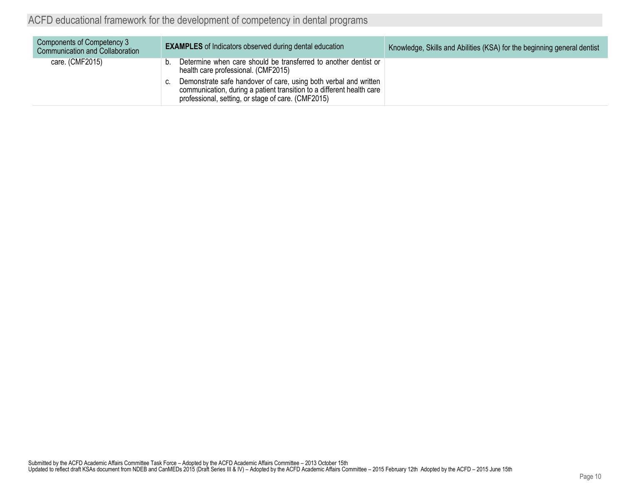| Components of Competency 3<br>Communication and Collaboration | <b>EXAMPLES</b> of Indicators observed during dental education                                                                                                                                  | Knowledge, Skills and Abilities (KSA) for the beginning general dentist |
|---------------------------------------------------------------|-------------------------------------------------------------------------------------------------------------------------------------------------------------------------------------------------|-------------------------------------------------------------------------|
| care. (CMF2015)                                               | Determine when care should be transferred to another dentist or<br>b.<br>health care professional. (CMF2015)                                                                                    |                                                                         |
|                                                               | Demonstrate safe handover of care, using both verbal and written<br>communication, during a patient transition to a different health care<br>professional, setting, or stage of care. (CMF2015) |                                                                         |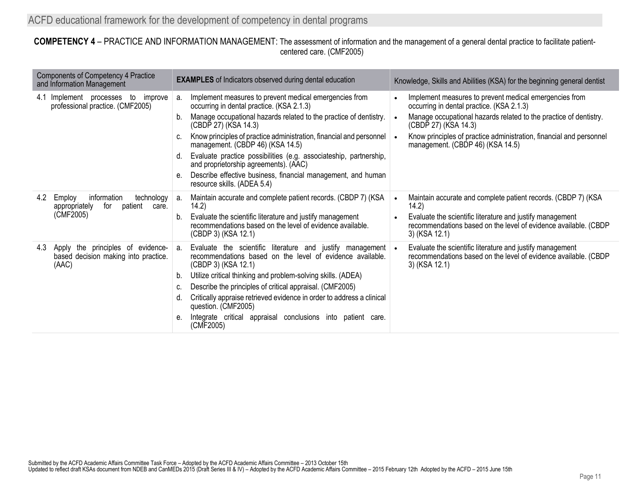**COMPETENCY 4** – PRACTICE AND INFORMATION MANAGEMENT: The assessment of information and the management of a general dental practice to facilitate patientcentered care. (CMF2005)

| Components of Competency 4 Practice<br>and Information Management |                                                                              | <b>EXAMPLES</b> of Indicators observed during dental education |                                                                                                                                                   | Knowledge, Skills and Abilities (KSA) for the beginning general dentist |                                                                                                                                               |  |
|-------------------------------------------------------------------|------------------------------------------------------------------------------|----------------------------------------------------------------|---------------------------------------------------------------------------------------------------------------------------------------------------|-------------------------------------------------------------------------|-----------------------------------------------------------------------------------------------------------------------------------------------|--|
| 4.1 Implement processes                                           | to<br>improve<br>professional practice. (CMF2005)                            | а.                                                             | Implement measures to prevent medical emergencies from<br>occurring in dental practice. (KSA 2.1.3)                                               |                                                                         | Implement measures to prevent medical emergencies from<br>occurring in dental practice. (KSA 2.1.3)                                           |  |
|                                                                   |                                                                              | b.                                                             | Manage occupational hazards related to the practice of dentistry.<br>(CBDP 27) (KSA 14.3)                                                         |                                                                         | Manage occupational hazards related to the practice of dentistry.<br>(CBDP 27) (KSA 14.3)                                                     |  |
|                                                                   |                                                                              |                                                                | Know principles of practice administration, financial and personnel   •<br>management. (CBDP 46) (KSA 14.5)                                       |                                                                         | Know principles of practice administration, financial and personnel<br>management. (CBDP 46) (KSA 14.5)                                       |  |
|                                                                   |                                                                              | d.                                                             | Evaluate practice possibilities (e.g. associateship, partnership,<br>and proprietorship agreements). (AAC)                                        |                                                                         |                                                                                                                                               |  |
|                                                                   |                                                                              |                                                                | Describe effective business, financial management, and human<br>resource skills. (ADEA 5.4)                                                       |                                                                         |                                                                                                                                               |  |
| 4.2<br>Employ<br>appropriately                                    | information<br>technology $ a$ .<br>patient<br>for<br>care.                  |                                                                | Maintain accurate and complete patient records. (CBDP 7) (KSA<br>14.2)                                                                            |                                                                         | Maintain accurate and complete patient records. (CBDP 7) (KSA<br>14.2)                                                                        |  |
|                                                                   | (CMF2005)                                                                    | b.                                                             | Evaluate the scientific literature and justify management<br>recommendations based on the level of evidence available.<br>(CBDP 3) (KSA 12.1)     |                                                                         | Evaluate the scientific literature and justify management<br>recommendations based on the level of evidence available. (CBDP<br>3) (KSA 12.1) |  |
| 4.3<br>(AAC)                                                      | Apply the principles of evidence- a.<br>based decision making into practice. |                                                                | Evaluate the scientific literature and justify management   •<br>recommendations based on the level of evidence available.<br>(CBDP 3) (KSA 12.1) |                                                                         | Evaluate the scientific literature and justify management<br>recommendations based on the level of evidence available. (CBDP<br>3) (KSA 12.1) |  |
|                                                                   |                                                                              | b.                                                             | Utilize critical thinking and problem-solving skills. (ADEA)                                                                                      |                                                                         |                                                                                                                                               |  |
|                                                                   |                                                                              | C.                                                             | Describe the principles of critical appraisal. (CMF2005)                                                                                          |                                                                         |                                                                                                                                               |  |
|                                                                   |                                                                              | d                                                              | Critically appraise retrieved evidence in order to address a clinical<br>question. (CMF2005)                                                      |                                                                         |                                                                                                                                               |  |
|                                                                   |                                                                              | е                                                              | Integrate critical<br>appraisal conclusions into patient care.<br>(CMF2005)                                                                       |                                                                         |                                                                                                                                               |  |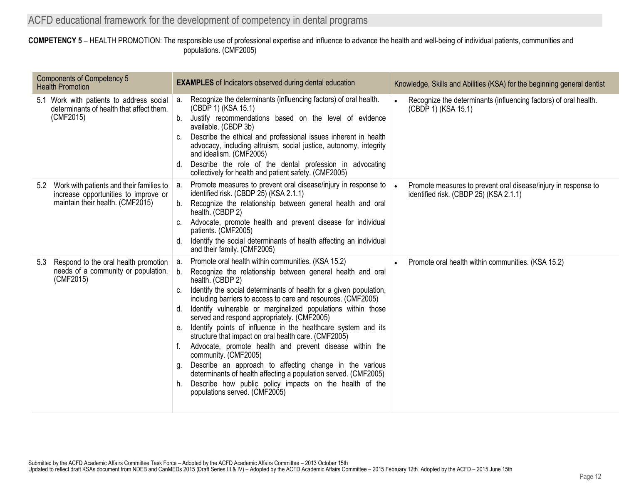**COMPETENCY 5** – HEALTH PROMOTION: The responsible use of professional expertise and influence to advance the health and well-being of individual patients, communities and populations. (CMF2005)

| <b>Components of Competency 5</b><br><b>Health Promotion</b> |                                                                                                                      |                                                    | <b>EXAMPLES</b> of Indicators observed during dental education                                                                                                                                                                                                                                                                                                                                                                                                                                                                                                                                                                                                                                                                                                                                                                   |           | Knowledge, Skills and Abilities (KSA) for the beginning general dentist                                  |
|--------------------------------------------------------------|----------------------------------------------------------------------------------------------------------------------|----------------------------------------------------|----------------------------------------------------------------------------------------------------------------------------------------------------------------------------------------------------------------------------------------------------------------------------------------------------------------------------------------------------------------------------------------------------------------------------------------------------------------------------------------------------------------------------------------------------------------------------------------------------------------------------------------------------------------------------------------------------------------------------------------------------------------------------------------------------------------------------------|-----------|----------------------------------------------------------------------------------------------------------|
|                                                              | 5.1 Work with patients to address social<br>determinants of health that affect them.<br>(CMF2015)                    | a.<br>b.<br>C.<br>d.                               | Recognize the determinants (influencing factors) of oral health.<br>(CBDP 1) (KSA 15.1)<br>Justify recommendations based on the level of evidence<br>available. (CBDP 3b)<br>Describe the ethical and professional issues inherent in health<br>advocacy, including altruism, social justice, autonomy, integrity<br>and idealism. (CMF2005)<br>Describe the role of the dental profession in advocating<br>collectively for health and patient safety. (CMF2005)                                                                                                                                                                                                                                                                                                                                                                | $\bullet$ | Recognize the determinants (influencing factors) of oral health.<br>(CBDP 1) (KSA 15.1)                  |
| 5.2                                                          | Work with patients and their families to<br>increase opportunities to improve or<br>maintain their health. (CMF2015) | а.<br>b.<br>C.<br>d.                               | Promote measures to prevent oral disease/injury in response to<br>identified risk. (CBDP 25) (KSA 2.1.1)<br>Recognize the relationship between general health and oral<br>health. (CBDP 2)<br>Advocate, promote health and prevent disease for individual<br>patients. (CMF2005)<br>Identify the social determinants of health affecting an individual<br>and their family. (CMF2005)                                                                                                                                                                                                                                                                                                                                                                                                                                            |           | Promote measures to prevent oral disease/injury in response to<br>identified risk. (CBDP 25) (KSA 2.1.1) |
| 5.3                                                          | Respond to the oral health promotion<br>needs of a community or population.<br>(CMF2015)                             | а.<br>b <sub>1</sub><br>C.<br>d.<br>е.<br>g.<br>h. | Promote oral health within communities. (KSA 15.2)<br>Recognize the relationship between general health and oral<br>health. (CBDP 2)<br>Identify the social determinants of health for a given population,<br>including barriers to access to care and resources. (CMF2005)<br>Identify vulnerable or marginalized populations within those<br>served and respond appropriately. (CMF2005)<br>Identify points of influence in the healthcare system and its<br>structure that impact on oral health care. (CMF2005)<br>Advocate, promote health and prevent disease within the<br>community. (CMF2005)<br>Describe an approach to affecting change in the various<br>determinants of health affecting a population served. (CMF2005)<br>Describe how public policy impacts on the health of the<br>populations served. (CMF2005) |           | Promote oral health within communities. (KSA 15.2)                                                       |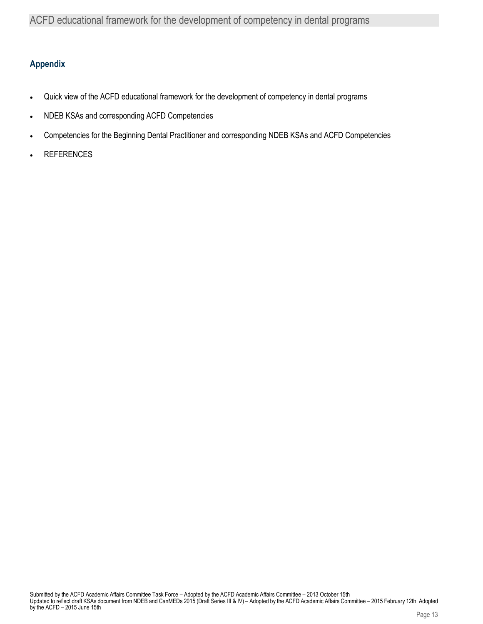# **Appendix**

- Quick view of the ACFD educational framework for the development of competency in dental programs
- NDEB KSAs and corresponding ACFD Competencies
- Competencies for the Beginning Dental Practitioner and corresponding NDEB KSAs and ACFD Competencies
- REFERENCES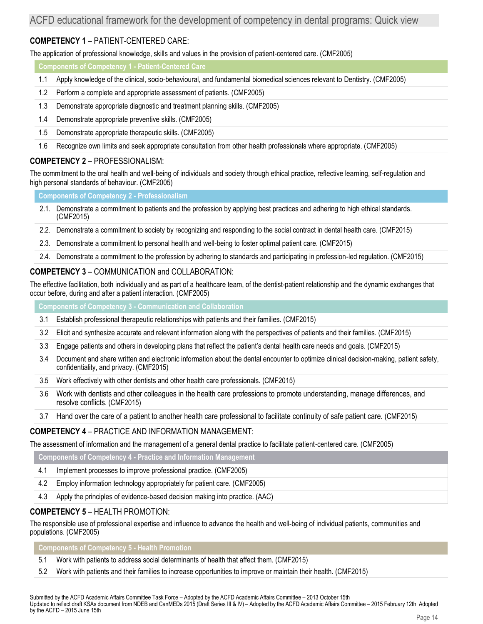# **COMPETENCY 1** – PATIENT-CENTERED CARE:

The application of professional knowledge, skills and values in the provision of patient-centered care. (CMF2005)

- 1.1 Apply knowledge of the clinical, socio-behavioural, and fundamental biomedical sciences relevant to Dentistry. (CMF2005)
- 1.2 Perform a complete and appropriate assessment of patients. (CMF2005)
- 1.3 Demonstrate appropriate diagnostic and treatment planning skills. (CMF2005)
- 1.4 Demonstrate appropriate preventive skills. (CMF2005)
- 1.5 Demonstrate appropriate therapeutic skills. (CMF2005)
- 1.6 Recognize own limits and seek appropriate consultation from other health professionals where appropriate. (CMF2005)

#### **COMPETENCY 2** – PROFESSIONALISM:

The commitment to the oral health and well-being of individuals and society through ethical practice, reflective learning, self-regulation and high personal standards of behaviour. (CMF2005)

**Components of Competency 2 - Professionalism**

- 2.1. Demonstrate a commitment to patients and the profession by applying best practices and adhering to high ethical standards. (CMF2015)
- 2.2. Demonstrate a commitment to society by recognizing and responding to the social contract in dental health care. (CMF2015)
- 2.3. Demonstrate a commitment to personal health and well-being to foster optimal patient care. (CMF2015)
- 2.4. Demonstrate a commitment to the profession by adhering to standards and participating in profession-led regulation. (CMF2015)

## **COMPETENCY 3** – COMMUNICATION and COLLABORATION:

The effective facilitation, both individually and as part of a healthcare team, of the dentist-patient relationship and the dynamic exchanges that occur before, during and after a patient interaction. (CMF2005)

- 3.1 Establish professional therapeutic relationships with patients and their families. (CMF2015)
- 3.2 Elicit and synthesize accurate and relevant information along with the perspectives of patients and their families. (CMF2015)
- 3.3 Engage patients and others in developing plans that reflect the patient's dental health care needs and goals. (CMF2015)
- 3.4 Document and share written and electronic information about the dental encounter to optimize clinical decision-making, patient safety, confidentiality, and privacy. (CMF2015)
- 3.5 Work effectively with other dentists and other health care professionals. (CMF2015)
- 3.6 Work with dentists and other colleagues in the health care professions to promote understanding, manage differences, and resolve conflicts. (CMF2015)
- 3.7 Hand over the care of a patient to another health care professional to facilitate continuity of safe patient care. (CMF2015)

#### **COMPETENCY 4** – PRACTICE AND INFORMATION MANAGEMENT:

The assessment of information and the management of a general dental practice to facilitate patient-centered care. (CMF2005)

**Components of Competency 4 - Practice and Information Management**

- 4.1 Implement processes to improve professional practice. (CMF2005)
- 4.2 Employ information technology appropriately for patient care. (CMF2005)
- 4.3 Apply the principles of evidence-based decision making into practice. (AAC)

#### **COMPETENCY 5** – HEALTH PROMOTION:

The responsible use of professional expertise and influence to advance the health and well-being of individual patients, communities and populations. (CMF2005)

**Components of Competency 5 - Health Promotion**

- 5.1 Work with patients to address social determinants of health that affect them. (CMF2015)
- 5.2 Work with patients and their families to increase opportunities to improve or maintain their health. (CMF2015)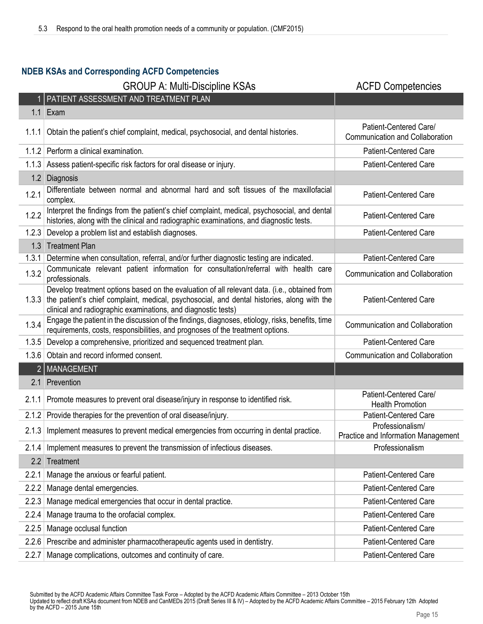# **NDEB KSAs and Corresponding ACFD Competencies**

|                | <b>GROUP A: Multi-Discipline KSAs</b>                                                                                                                                                                                                                       | <b>ACFD Competencies</b>                                         |
|----------------|-------------------------------------------------------------------------------------------------------------------------------------------------------------------------------------------------------------------------------------------------------------|------------------------------------------------------------------|
|                | PATIENT ASSESSMENT AND TREATMENT PLAN                                                                                                                                                                                                                       |                                                                  |
|                | $1.1$ Exam                                                                                                                                                                                                                                                  |                                                                  |
| 1.1.1          | Obtain the patient's chief complaint, medical, psychosocial, and dental histories.                                                                                                                                                                          | Patient-Centered Care/<br><b>Communication and Collaboration</b> |
| 1.1.2          | Perform a clinical examination.                                                                                                                                                                                                                             | <b>Patient-Centered Care</b>                                     |
| 1.1.3          | Assess patient-specific risk factors for oral disease or injury.                                                                                                                                                                                            | <b>Patient-Centered Care</b>                                     |
| 1.2            | Diagnosis                                                                                                                                                                                                                                                   |                                                                  |
| 1.2.1          | Differentiate between normal and abnormal hard and soft tissues of the maxillofacial<br>complex.                                                                                                                                                            | <b>Patient-Centered Care</b>                                     |
| 1.2.2          | Interpret the findings from the patient's chief complaint, medical, psychosocial, and dental<br>histories, along with the clinical and radiographic examinations, and diagnostic tests.                                                                     | <b>Patient-Centered Care</b>                                     |
| 1.2.3          | Develop a problem list and establish diagnoses.                                                                                                                                                                                                             | <b>Patient-Centered Care</b>                                     |
|                | 1.3 Treatment Plan                                                                                                                                                                                                                                          |                                                                  |
| 1.3.1          | Determine when consultation, referral, and/or further diagnostic testing are indicated.                                                                                                                                                                     | <b>Patient-Centered Care</b>                                     |
| 1.3.2          | Communicate relevant patient information for consultation/referral with health care<br>professionals.                                                                                                                                                       | Communication and Collaboration                                  |
| 1.3.3          | Develop treatment options based on the evaluation of all relevant data. (i.e., obtained from<br>the patient's chief complaint, medical, psychosocial, and dental histories, along with the<br>clinical and radiographic examinations, and diagnostic tests) | <b>Patient-Centered Care</b>                                     |
| 1.3.4          | Engage the patient in the discussion of the findings, diagnoses, etiology, risks, benefits, time<br>requirements, costs, responsibilities, and prognoses of the treatment options.                                                                          | <b>Communication and Collaboration</b>                           |
| 1.3.5          | Develop a comprehensive, prioritized and sequenced treatment plan.                                                                                                                                                                                          | <b>Patient-Centered Care</b>                                     |
| 1.3.6          | Obtain and record informed consent.                                                                                                                                                                                                                         | <b>Communication and Collaboration</b>                           |
| $\overline{2}$ | MANAGEMENT                                                                                                                                                                                                                                                  |                                                                  |
|                | 2.1 Prevention                                                                                                                                                                                                                                              |                                                                  |
| 2.1.1          | Promote measures to prevent oral disease/injury in response to identified risk.                                                                                                                                                                             | Patient-Centered Care/<br><b>Health Promotion</b>                |
| 2.1.2          | Provide therapies for the prevention of oral disease/injury.                                                                                                                                                                                                | <b>Patient-Centered Care</b>                                     |
|                | 2.1.3 Implement measures to prevent medical emergencies from occurring in dental practice.                                                                                                                                                                  | Professionalism/<br>Practice and Information Management          |
| 2.1.4          | Implement measures to prevent the transmission of infectious diseases.                                                                                                                                                                                      | Professionalism                                                  |
|                | 2.2 Treatment                                                                                                                                                                                                                                               |                                                                  |
| 2.2.1          | Manage the anxious or fearful patient.                                                                                                                                                                                                                      | Patient-Centered Care                                            |
| 2.2.2          | Manage dental emergencies.                                                                                                                                                                                                                                  | Patient-Centered Care                                            |
| 2.2.3          | Manage medical emergencies that occur in dental practice.                                                                                                                                                                                                   | Patient-Centered Care                                            |
| 2.2.4          | Manage trauma to the orofacial complex.                                                                                                                                                                                                                     | Patient-Centered Care                                            |
| 2.2.5          | Manage occlusal function                                                                                                                                                                                                                                    | <b>Patient-Centered Care</b>                                     |
| 2.2.6          | Prescribe and administer pharmacotherapeutic agents used in dentistry.                                                                                                                                                                                      | Patient-Centered Care                                            |
| 2.2.7          | Manage complications, outcomes and continuity of care.                                                                                                                                                                                                      | Patient-Centered Care                                            |

Submitted by the ACFD Academic Affairs Committee Task Force – Adopted by the ACFD Academic Affairs Committee – 2013 October 15th Updated to reflect draft KSAs document from NDEB and CanMEDs 2015 (Draft Series III & IV) – Adopted by the ACFD Academic Affairs Committee – 2015 February 12th Adopted by the ACFD – 2015 June 15th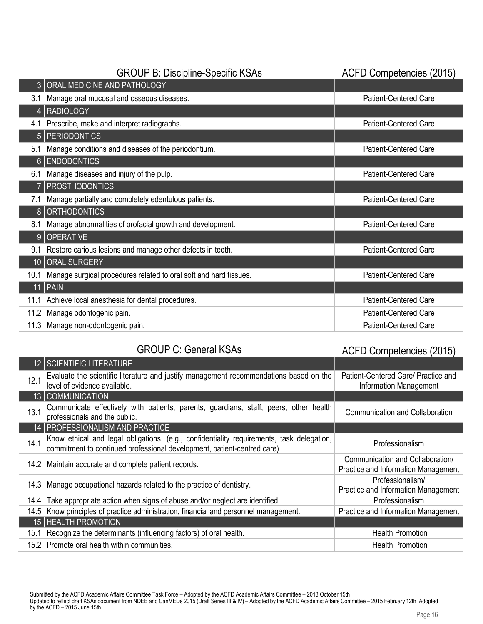|                 | <b>GROUP B: Discipline-Specific KSAs</b>                          | ACFD Competencies (2015)     |
|-----------------|-------------------------------------------------------------------|------------------------------|
| 3               | ORAL MEDICINE AND PATHOLOGY                                       |                              |
| 3.1             | Manage oral mucosal and osseous diseases.                         | <b>Patient-Centered Care</b> |
| 4               | <b>RADIOLOGY</b>                                                  |                              |
| 4.1             | Prescribe, make and interpret radiographs.                        | <b>Patient-Centered Care</b> |
| 5 <sub>1</sub>  | <b>PERIODONTICS</b>                                               |                              |
| 5.1             | Manage conditions and diseases of the periodontium.               | <b>Patient-Centered Care</b> |
| 6               | <b>ENDODONTICS</b>                                                |                              |
| 6.1             | Manage diseases and injury of the pulp.                           | <b>Patient-Centered Care</b> |
|                 | <b>PROSTHODONTICS</b>                                             |                              |
| 7.1             | Manage partially and completely edentulous patients.              | <b>Patient-Centered Care</b> |
| 8 <sup>1</sup>  | <b>ORTHODONTICS</b>                                               |                              |
| 8.1             | Manage abnormalities of orofacial growth and development.         | <b>Patient-Centered Care</b> |
| 9 <sup>1</sup>  | <b>OPERATIVE</b>                                                  |                              |
| 9.1             | Restore carious lesions and manage other defects in teeth.        | <b>Patient-Centered Care</b> |
| 10 <sup>1</sup> | <b>ORAL SURGERY</b>                                               |                              |
| 10.1            | Manage surgical procedures related to oral soft and hard tissues. | <b>Patient-Centered Care</b> |
| 11              | <b>PAIN</b>                                                       |                              |
| 11.1            | Achieve local anesthesia for dental procedures.                   | <b>Patient-Centered Care</b> |
| 11.2            | Manage odontogenic pain.                                          | <b>Patient-Centered Care</b> |
| 11.3            | Manage non-odontogenic pain.                                      | <b>Patient-Centered Care</b> |

# GROUP C: General KSAs ACFD Competencies (2015)

| 12 <sub>1</sub> | <b>SCIENTIFIC LITERATURE</b>                                                                                                                                         |                                                                         |
|-----------------|----------------------------------------------------------------------------------------------------------------------------------------------------------------------|-------------------------------------------------------------------------|
| 12.1            | Evaluate the scientific literature and justify management recommendations based on the<br>level of evidence available.                                               | Patient-Centered Care/ Practice and<br>Information Management           |
|                 | 13   COMMUNICATION                                                                                                                                                   |                                                                         |
| 13.1            | Communicate effectively with patients, parents, guardians, staff, peers, other health<br>professionals and the public.                                               | <b>Communication and Collaboration</b>                                  |
|                 | 14   PROFESSIONALISM AND PRACTICE                                                                                                                                    |                                                                         |
| 14.1            | Know ethical and legal obligations. (e.g., confidentiality requirements, task delegation,<br>commitment to continued professional development, patient-centred care) | Professionalism                                                         |
|                 | 14.2 Maintain accurate and complete patient records.                                                                                                                 | Communication and Collaboration/<br>Practice and Information Management |
| 14.3            | Manage occupational hazards related to the practice of dentistry.                                                                                                    | Professionalism/<br>Practice and Information Management                 |
| 14.4            | Take appropriate action when signs of abuse and/or neglect are identified.                                                                                           | Professionalism                                                         |
| 14.5            | Know principles of practice administration, financial and personnel management.                                                                                      | Practice and Information Management                                     |
| 15 I            | <b>HEALTH PROMOTION</b>                                                                                                                                              |                                                                         |
| 15.1            | Recognize the determinants (influencing factors) of oral health.                                                                                                     | <b>Health Promotion</b>                                                 |
|                 | 15.2 Promote oral health within communities.                                                                                                                         | <b>Health Promotion</b>                                                 |
|                 |                                                                                                                                                                      |                                                                         |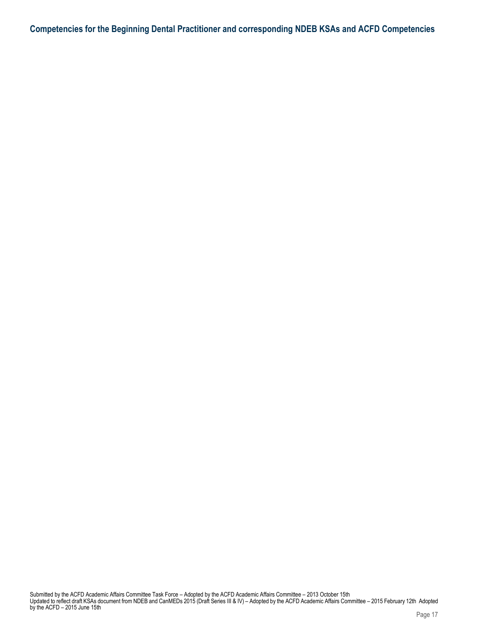**Competencies for the Beginning Dental Practitioner and corresponding NDEB KSAs and ACFD Competencies**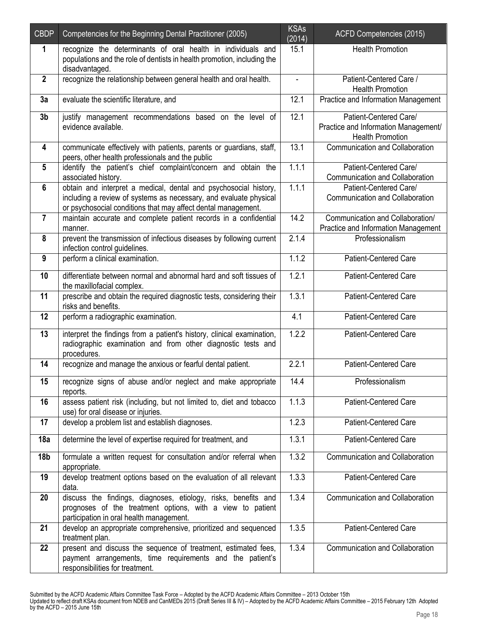| <b>CBDP</b>    | Competencies for the Beginning Dental Practitioner (2005)                                                                                                                                              | <b>KSAs</b><br>(2014) | ACFD Competencies (2015)                                                                  |
|----------------|--------------------------------------------------------------------------------------------------------------------------------------------------------------------------------------------------------|-----------------------|-------------------------------------------------------------------------------------------|
| 1              | recognize the determinants of oral health in individuals and<br>populations and the role of dentists in health promotion, including the<br>disadvantaged.                                              | 15.1                  | <b>Health Promotion</b>                                                                   |
| $\mathbf{2}$   | recognize the relationship between general health and oral health.                                                                                                                                     | $\blacksquare$        | Patient-Centered Care /<br><b>Health Promotion</b>                                        |
| 3a             | evaluate the scientific literature, and                                                                                                                                                                | 12.1                  | Practice and Information Management                                                       |
| 3 <sub>b</sub> | justify management recommendations based on the level of<br>evidence available.                                                                                                                        | 12.1                  | Patient-Centered Care/<br>Practice and Information Management/<br><b>Health Promotion</b> |
| $\overline{4}$ | communicate effectively with patients, parents or guardians, staff,<br>peers, other health professionals and the public                                                                                | 13.1                  | Communication and Collaboration                                                           |
| 5              | identify the patient's chief complaint/concern and obtain the<br>associated history.                                                                                                                   | 1.1.1                 | Patient-Centered Care/<br><b>Communication and Collaboration</b>                          |
| $6\phantom{1}$ | obtain and interpret a medical, dental and psychosocial history,<br>including a review of systems as necessary, and evaluate physical<br>or psychosocial conditions that may affect dental management. | 1.1.1                 | Patient-Centered Care/<br><b>Communication and Collaboration</b>                          |
| $\overline{7}$ | maintain accurate and complete patient records in a confidential<br>manner.                                                                                                                            | 14.2                  | Communication and Collaboration/<br>Practice and Information Management                   |
| 8              | prevent the transmission of infectious diseases by following current<br>infection control guidelines.                                                                                                  | 2.1.4                 | Professionalism                                                                           |
| 9              | perform a clinical examination.                                                                                                                                                                        | 1.1.2                 | <b>Patient-Centered Care</b>                                                              |
| 10             | differentiate between normal and abnormal hard and soft tissues of<br>the maxillofacial complex.                                                                                                       | 1.2.1                 | <b>Patient-Centered Care</b>                                                              |
| 11             | prescribe and obtain the required diagnostic tests, considering their<br>risks and benefits.                                                                                                           | 1.3.1                 | <b>Patient-Centered Care</b>                                                              |
| 12             | perform a radiographic examination.                                                                                                                                                                    | 4.1                   | <b>Patient-Centered Care</b>                                                              |
| 13             | interpret the findings from a patient's history, clinical examination,<br>radiographic examination and from other diagnostic tests and<br>procedures.                                                  | 1.2.2                 | <b>Patient-Centered Care</b>                                                              |
| 14             | recognize and manage the anxious or fearful dental patient.                                                                                                                                            | 2.2.1                 | <b>Patient-Centered Care</b>                                                              |
| 15             | recognize signs of abuse and/or neglect and make appropriate<br>reports.                                                                                                                               | 14.4                  | Professionalism                                                                           |
| 16             | assess patient risk (including, but not limited to, diet and tobacco<br>use) for oral disease or injuries.                                                                                             | 1.1.3                 | <b>Patient-Centered Care</b>                                                              |
| 17             | develop a problem list and establish diagnoses.                                                                                                                                                        | 1.2.3                 | <b>Patient-Centered Care</b>                                                              |
| 18a            | determine the level of expertise required for treatment, and                                                                                                                                           | 1.3.1                 | <b>Patient-Centered Care</b>                                                              |
| 18b            | formulate a written request for consultation and/or referral when<br>appropriate.                                                                                                                      | 1.3.2                 | Communication and Collaboration                                                           |
| 19             | develop treatment options based on the evaluation of all relevant<br>data.                                                                                                                             | 1.3.3                 | <b>Patient-Centered Care</b>                                                              |
| 20             | discuss the findings, diagnoses, etiology, risks, benefits and<br>prognoses of the treatment options, with a view to patient<br>participation in oral health management.                               | 1.3.4                 | Communication and Collaboration                                                           |
| 21             | develop an appropriate comprehensive, prioritized and sequenced<br>treatment plan.                                                                                                                     | 1.3.5                 | Patient-Centered Care                                                                     |
| 22             | present and discuss the sequence of treatment, estimated fees,<br>payment arrangements, time requirements and the patient's<br>responsibilities for treatment.                                         | 1.3.4                 | Communication and Collaboration                                                           |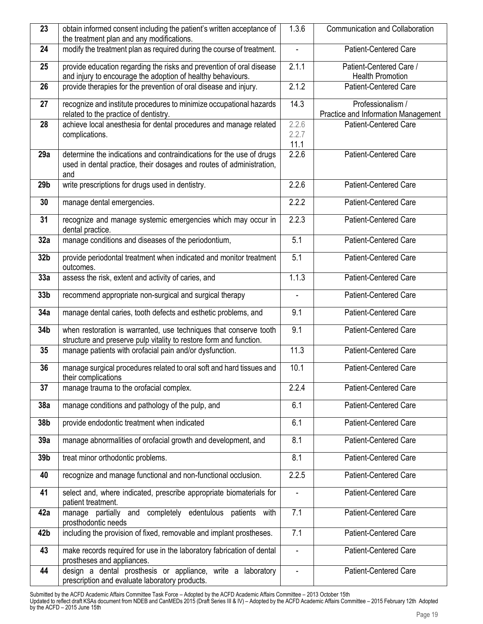| 23              | obtain informed consent including the patient's written acceptance of<br>the treatment plan and any modifications.                                  | 1.3.6                  | Communication and Collaboration                          |
|-----------------|-----------------------------------------------------------------------------------------------------------------------------------------------------|------------------------|----------------------------------------------------------|
| 24              | modify the treatment plan as required during the course of treatment.                                                                               | $\blacksquare$         | <b>Patient-Centered Care</b>                             |
| 25              | provide education regarding the risks and prevention of oral disease<br>and injury to encourage the adoption of healthy behaviours.                 | 2.1.1                  | Patient-Centered Care /<br><b>Health Promotion</b>       |
| 26              | provide therapies for the prevention of oral disease and injury.                                                                                    | 2.1.2                  | <b>Patient-Centered Care</b>                             |
| 27              | recognize and institute procedures to minimize occupational hazards<br>related to the practice of dentistry.                                        | 14.3                   | Professionalism /<br>Practice and Information Management |
| 28              | achieve local anesthesia for dental procedures and manage related<br>complications.                                                                 | 2.2.6<br>2.2.7<br>11.1 | Patient-Centered Care                                    |
| 29a             | determine the indications and contraindications for the use of drugs<br>used in dental practice, their dosages and routes of administration,<br>and | 2.2.6                  | <b>Patient-Centered Care</b>                             |
| 29 <sub>b</sub> | write prescriptions for drugs used in dentistry.                                                                                                    | 2.2.6                  | <b>Patient-Centered Care</b>                             |
| 30              | manage dental emergencies.                                                                                                                          | 2.2.2                  | <b>Patient-Centered Care</b>                             |
| 31              | recognize and manage systemic emergencies which may occur in<br>dental practice.                                                                    | 2.2.3                  | <b>Patient-Centered Care</b>                             |
| 32a             | manage conditions and diseases of the periodontium,                                                                                                 | 5.1                    | <b>Patient-Centered Care</b>                             |
| 32 <sub>b</sub> | provide periodontal treatment when indicated and monitor treatment<br>outcomes.                                                                     | 5.1                    | <b>Patient-Centered Care</b>                             |
| 33a             | assess the risk, extent and activity of caries, and                                                                                                 | 1.1.3                  | <b>Patient-Centered Care</b>                             |
| 33 <sub>b</sub> | recommend appropriate non-surgical and surgical therapy                                                                                             |                        | <b>Patient-Centered Care</b>                             |
| 34a             | manage dental caries, tooth defects and esthetic problems, and                                                                                      | 9.1                    | <b>Patient-Centered Care</b>                             |
| 34b             | when restoration is warranted, use techniques that conserve tooth<br>structure and preserve pulp vitality to restore form and function.             | 9.1                    | Patient-Centered Care                                    |
| 35              | manage patients with orofacial pain and/or dysfunction.                                                                                             | 11.3                   | <b>Patient-Centered Care</b>                             |
| 36              | manage surgical procedures related to oral soft and hard tissues and<br>their complications                                                         | 10.1                   | Patient-Centered Care                                    |
| 37              | manage trauma to the orofacial complex.                                                                                                             | 2.2.4                  | <b>Patient-Centered Care</b>                             |
| 38a             | manage conditions and pathology of the pulp, and                                                                                                    | 6.1                    | <b>Patient-Centered Care</b>                             |
| 38b             | provide endodontic treatment when indicated                                                                                                         | 6.1                    | <b>Patient-Centered Care</b>                             |
| 39a             | manage abnormalities of orofacial growth and development, and                                                                                       | 8.1                    | <b>Patient-Centered Care</b>                             |
| 39b             | treat minor orthodontic problems.                                                                                                                   | 8.1                    | <b>Patient-Centered Care</b>                             |
| 40              | recognize and manage functional and non-functional occlusion.                                                                                       | 2.2.5                  | <b>Patient-Centered Care</b>                             |
| 41              | select and, where indicated, prescribe appropriate biomaterials for<br>patient treatment.                                                           | $\blacksquare$         | <b>Patient-Centered Care</b>                             |
| 42a             | manage partially and completely edentulous patients with<br>prosthodontic needs                                                                     | 7.1                    | <b>Patient-Centered Care</b>                             |
| 42b             | including the provision of fixed, removable and implant prostheses.                                                                                 | 7.1                    | <b>Patient-Centered Care</b>                             |
| 43              | make records required for use in the laboratory fabrication of dental<br>prostheses and appliances.                                                 | $\blacksquare$         | <b>Patient-Centered Care</b>                             |
| 44              | design a dental prosthesis or appliance, write a laboratory<br>prescription and evaluate laboratory products.                                       |                        | Patient-Centered Care                                    |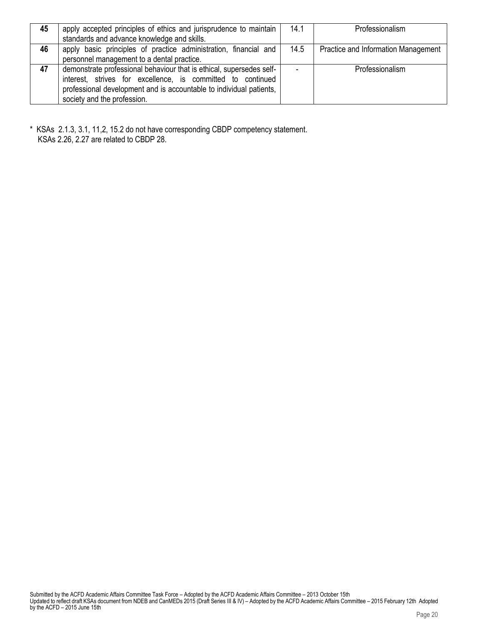| 45 | apply accepted principles of ethics and jurisprudence to maintain    | 14.1 | Professionalism                     |
|----|----------------------------------------------------------------------|------|-------------------------------------|
|    | standards and advance knowledge and skills.                          |      |                                     |
| 46 | apply basic principles of practice administration, financial and     | 14.5 | Practice and Information Management |
|    | personnel management to a dental practice.                           |      |                                     |
| 47 | demonstrate professional behaviour that is ethical, supersedes self- |      | Professionalism                     |
|    | interest, strives for excellence, is committed to continued          |      |                                     |
|    | professional development and is accountable to individual patients,  |      |                                     |
|    | society and the profession.                                          |      |                                     |

\* KSAs 2.1.3, 3.1, 11,2, 15.2 do not have corresponding CBDP competency statement. KSAs 2.26, 2.27 are related to CBDP 28.